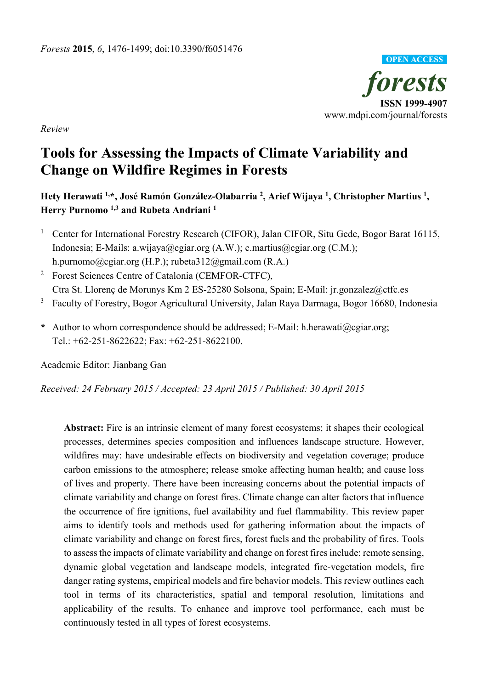

*Review*

# **Tools for Assessing the Impacts of Climate Variability and Change on Wildfire Regimes in Forests**

**Hety Herawati 1,\*, José Ramón González-Olabarria 2, Arief Wijaya 1 , Christopher Martius 1, Herry Purnomo 1,3 and Rubeta Andriani 1**

- <sup>1</sup> Center for International Forestry Research (CIFOR), Jalan CIFOR, Situ Gede, Bogor Barat 16115, Indonesia; E-Mails: a.wijaya@cgiar.org (A.W.); c.martius@cgiar.org (C.M.); h.purnomo@cgiar.org (H.P.); rubeta312@gmail.com (R.A.)
- <sup>2</sup> Forest Sciences Centre of Catalonia (CEMFOR-CTFC), Ctra St. Llorenç de Morunys Km 2 ES-25280 Solsona, Spain; E-Mail: jr.gonzalez@ctfc.es
- <sup>3</sup> Faculty of Forestry, Bogor Agricultural University, Jalan Raya Darmaga, Bogor 16680, Indonesia
- **\*** Author to whom correspondence should be addressed; E-Mail: h.herawati@cgiar.org; Tel.: +62-251-8622622; Fax: +62-251-8622100.

Academic Editor: Jianbang Gan

*Received: 24 February 2015 / Accepted: 23 April 2015 / Published: 30 April 2015* 

**Abstract:** Fire is an intrinsic element of many forest ecosystems; it shapes their ecological processes, determines species composition and influences landscape structure. However, wildfires may: have undesirable effects on biodiversity and vegetation coverage; produce carbon emissions to the atmosphere; release smoke affecting human health; and cause loss of lives and property. There have been increasing concerns about the potential impacts of climate variability and change on forest fires. Climate change can alter factors that influence the occurrence of fire ignitions, fuel availability and fuel flammability. This review paper aims to identify tools and methods used for gathering information about the impacts of climate variability and change on forest fires, forest fuels and the probability of fires. Tools to assess the impacts of climate variability and change on forest fires include: remote sensing, dynamic global vegetation and landscape models, integrated fire-vegetation models, fire danger rating systems, empirical models and fire behavior models. This review outlines each tool in terms of its characteristics, spatial and temporal resolution, limitations and applicability of the results. To enhance and improve tool performance, each must be continuously tested in all types of forest ecosystems.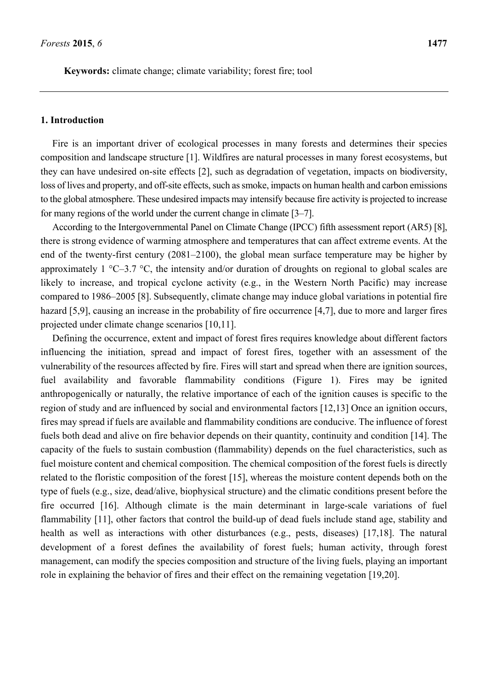**Keywords:** climate change; climate variability; forest fire; tool

#### **1. Introduction**

Fire is an important driver of ecological processes in many forests and determines their species composition and landscape structure [1]. Wildfires are natural processes in many forest ecosystems, but they can have undesired on-site effects [2], such as degradation of vegetation, impacts on biodiversity, loss of lives and property, and off-site effects, such as smoke, impacts on human health and carbon emissions to the global atmosphere. These undesired impacts may intensify because fire activity is projected to increase for many regions of the world under the current change in climate [3–7].

According to the Intergovernmental Panel on Climate Change (IPCC) fifth assessment report (AR5) [8], there is strong evidence of warming atmosphere and temperatures that can affect extreme events. At the end of the twenty-first century (2081–2100), the global mean surface temperature may be higher by approximately 1 °C–3.7 °C, the intensity and/or duration of droughts on regional to global scales are likely to increase, and tropical cyclone activity (e.g., in the Western North Pacific) may increase compared to 1986–2005 [8]. Subsequently, climate change may induce global variations in potential fire hazard [5,9], causing an increase in the probability of fire occurrence [4,7], due to more and larger fires projected under climate change scenarios [10,11].

Defining the occurrence, extent and impact of forest fires requires knowledge about different factors influencing the initiation, spread and impact of forest fires, together with an assessment of the vulnerability of the resources affected by fire. Fires will start and spread when there are ignition sources, fuel availability and favorable flammability conditions (Figure 1). Fires may be ignited anthropogenically or naturally, the relative importance of each of the ignition causes is specific to the region of study and are influenced by social and environmental factors [12,13] Once an ignition occurs, fires may spread if fuels are available and flammability conditions are conducive. The influence of forest fuels both dead and alive on fire behavior depends on their quantity, continuity and condition [14]. The capacity of the fuels to sustain combustion (flammability) depends on the fuel characteristics, such as fuel moisture content and chemical composition. The chemical composition of the forest fuels is directly related to the floristic composition of the forest [15], whereas the moisture content depends both on the type of fuels (e.g., size, dead/alive, biophysical structure) and the climatic conditions present before the fire occurred [16]. Although climate is the main determinant in large-scale variations of fuel flammability [11], other factors that control the build-up of dead fuels include stand age, stability and health as well as interactions with other disturbances (e.g., pests, diseases) [17,18]. The natural development of a forest defines the availability of forest fuels; human activity, through forest management, can modify the species composition and structure of the living fuels, playing an important role in explaining the behavior of fires and their effect on the remaining vegetation [19,20].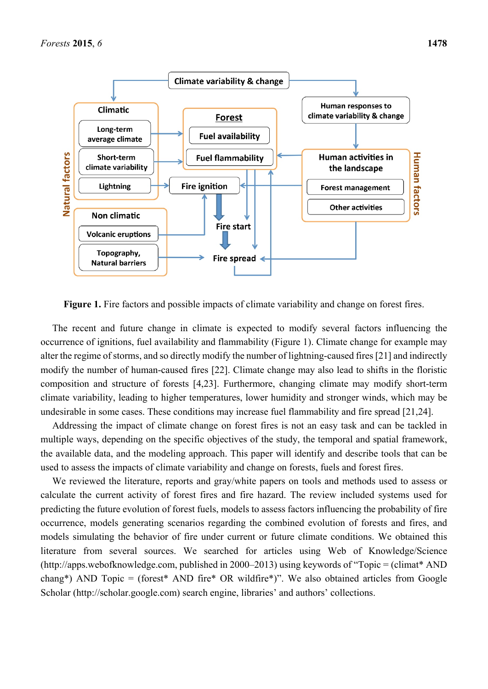

**Figure 1.** Fire factors and possible impacts of climate variability and change on forest fires.

The recent and future change in climate is expected to modify several factors influencing the occurrence of ignitions, fuel availability and flammability (Figure 1). Climate change for example may alter the regime of storms, and so directly modify the number of lightning-caused fires[21] and indirectly modify the number of human-caused fires [22]. Climate change may also lead to shifts in the floristic composition and structure of forests [4,23]. Furthermore, changing climate may modify short-term climate variability, leading to higher temperatures, lower humidity and stronger winds, which may be undesirable in some cases. These conditions may increase fuel flammability and fire spread [21,24].

Addressing the impact of climate change on forest fires is not an easy task and can be tackled in multiple ways, depending on the specific objectives of the study, the temporal and spatial framework, the available data, and the modeling approach. This paper will identify and describe tools that can be used to assess the impacts of climate variability and change on forests, fuels and forest fires.

We reviewed the literature, reports and gray/white papers on tools and methods used to assess or calculate the current activity of forest fires and fire hazard. The review included systems used for predicting the future evolution of forest fuels, models to assess factors influencing the probability of fire occurrence, models generating scenarios regarding the combined evolution of forests and fires, and models simulating the behavior of fire under current or future climate conditions. We obtained this literature from several sources. We searched for articles using Web of Knowledge/Science (http://apps.webofknowledge.com, published in 2000–2013) using keywords of "Topic = (climat\* AND chang\*) AND Topic = (forest\* AND fire\* OR wildfire\*)". We also obtained articles from Google Scholar (http://scholar.google.com) search engine, libraries' and authors' collections.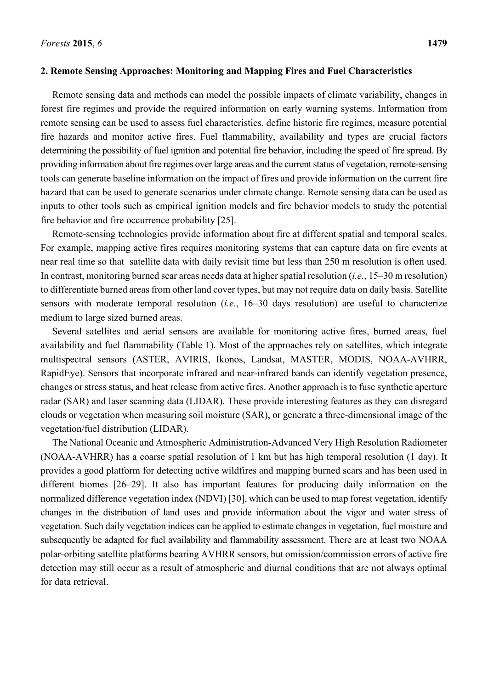#### **2. Remote Sensing Approaches: Monitoring and Mapping Fires and Fuel Characteristics**

Remote sensing data and methods can model the possible impacts of climate variability, changes in forest fire regimes and provide the required information on early warning systems. Information from remote sensing can be used to assess fuel characteristics, define historic fire regimes, measure potential fire hazards and monitor active fires. Fuel flammability, availability and types are crucial factors determining the possibility of fuel ignition and potential fire behavior, including the speed of fire spread. By providing information about fire regimes over large areas and the current status of vegetation, remote-sensing tools can generate baseline information on the impact of fires and provide information on the current fire hazard that can be used to generate scenarios under climate change. Remote sensing data can be used as inputs to other tools such as empirical ignition models and fire behavior models to study the potential fire behavior and fire occurrence probability [25].

Remote-sensing technologies provide information about fire at different spatial and temporal scales. For example, mapping active fires requires monitoring systems that can capture data on fire events at near real time so that satellite data with daily revisit time but less than 250 m resolution is often used. In contrast, monitoring burned scar areas needs data at higher spatial resolution (*i.e.*, 15–30 m resolution) to differentiate burned areas from other land cover types, but may not require data on daily basis. Satellite sensors with moderate temporal resolution (*i.e.*, 16–30 days resolution) are useful to characterize medium to large sized burned areas.

Several satellites and aerial sensors are available for monitoring active fires, burned areas, fuel availability and fuel flammability (Table 1). Most of the approaches rely on satellites, which integrate multispectral sensors (ASTER, AVIRIS, Ikonos, Landsat, MASTER, MODIS, NOAA-AVHRR, RapidEye). Sensors that incorporate infrared and near-infrared bands can identify vegetation presence, changes or stress status, and heat release from active fires. Another approach is to fuse synthetic aperture radar (SAR) and laser scanning data (LIDAR). These provide interesting features as they can disregard clouds or vegetation when measuring soil moisture (SAR), or generate a three-dimensional image of the vegetation/fuel distribution (LIDAR).

The National Oceanic and Atmospheric Administration-Advanced Very High Resolution Radiometer (NOAA-AVHRR) has a coarse spatial resolution of 1 km but has high temporal resolution (1 day). It provides a good platform for detecting active wildfires and mapping burned scars and has been used in different biomes [26–29]. It also has important features for producing daily information on the normalized difference vegetation index (NDVI) [30], which can be used to map forest vegetation, identify changes in the distribution of land uses and provide information about the vigor and water stress of vegetation. Such daily vegetation indices can be applied to estimate changes in vegetation, fuel moisture and subsequently be adapted for fuel availability and flammability assessment. There are at least two NOAA polar-orbiting satellite platforms bearing AVHRR sensors, but omission/commission errors of active fire detection may still occur as a result of atmospheric and diurnal conditions that are not always optimal for data retrieval.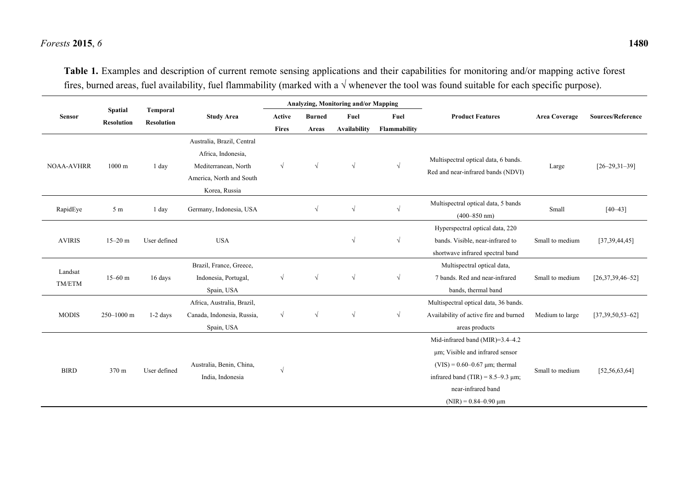### *Forests* **2015**, *6* **1480**

**Table 1.** Examples and description of current remote sensing applications and their capabilities for monitoring and/or mapping active forest fires, burned areas, fuel availability, fuel flammability (marked with a √ whenever the tool was found suitable for each specific purpose).

| Sensor            | <b>Spatial</b><br><b>Resolution</b> | Temporal<br><b>Resolution</b> | <b>Study Area</b>          | Analyzing, Monitoring and/or Mapping |               |                     |              |                                                                            |                      |                          |
|-------------------|-------------------------------------|-------------------------------|----------------------------|--------------------------------------|---------------|---------------------|--------------|----------------------------------------------------------------------------|----------------------|--------------------------|
|                   |                                     |                               |                            | Active                               | <b>Burned</b> | Fuel                | Fuel         | <b>Product Features</b>                                                    | <b>Area Coverage</b> | <b>Sources/Reference</b> |
|                   |                                     |                               |                            | <b>Fires</b>                         | Areas         | <b>Availability</b> | Flammability |                                                                            |                      |                          |
| <b>NOAA-AVHRR</b> | $1000 \text{ m}$                    | 1 day                         | Australia, Brazil, Central |                                      |               |                     |              |                                                                            |                      |                          |
|                   |                                     |                               | Africa, Indonesia,         |                                      |               |                     |              |                                                                            |                      |                          |
|                   |                                     |                               | Mediterranean, North       | $\sqrt{ }$<br>$\sqrt{ }$             |               | $\sqrt{ }$          | $\sqrt{ }$   | Multispectral optical data, 6 bands.<br>Red and near-infrared bands (NDVI) | Large                | $[26 - 29, 31 - 39]$     |
|                   |                                     |                               | America, North and South   |                                      |               |                     |              |                                                                            |                      |                          |
|                   |                                     |                               | Korea, Russia              |                                      |               |                     |              |                                                                            |                      |                          |
| RapidEye          | 5 <sub>m</sub>                      | 1 day                         | Germany, Indonesia, USA    |                                      | $\sqrt{ }$    | $\sqrt{ }$          | $\sqrt{}$    | Multispectral optical data, 5 bands                                        | Small                | $[40 - 43]$              |
|                   |                                     |                               |                            |                                      |               |                     |              | $(400 - 850$ nm)                                                           |                      |                          |
| <b>AVIRIS</b>     | $15 - 20$ m                         | User defined                  | <b>USA</b>                 |                                      |               |                     |              | Hyperspectral optical data, 220                                            |                      |                          |
|                   |                                     |                               |                            |                                      |               | $\sqrt{ }$          | $\sqrt{ }$   | bands. Visible, near-infrared to                                           | Small to medium      | [37,39,44,45]            |
|                   |                                     |                               |                            |                                      |               |                     |              | shortwave infrared spectral band                                           |                      |                          |
|                   | $15 - 60$ m                         | 16 days                       | Brazil, France, Greece,    |                                      |               |                     |              | Multispectral optical data,                                                |                      | $[26,37,39,46-52]$       |
| Landsat<br>TM/ETM |                                     |                               | Indonesia, Portugal,       | $\sqrt{ }$                           | $\sqrt{ }$    | $\sqrt{ }$          | $\sqrt{ }$   | 7 bands. Red and near-infrared                                             | Small to medium      |                          |
|                   |                                     |                               | Spain, USA                 |                                      |               |                     |              | bands, thermal band                                                        |                      |                          |
| <b>MODIS</b>      | 250-1000 m                          | $1-2$ days                    | Africa, Australia, Brazil, |                                      |               |                     |              | Multispectral optical data, 36 bands.                                      |                      | $[37,39,50,53-62]$       |
|                   |                                     |                               | Canada, Indonesia, Russia, | $\sqrt{ }$                           | $\sqrt{ }$    | $\sqrt{ }$          | $\sqrt{}$    | Availability of active fire and burned                                     | Medium to large      |                          |
|                   |                                     |                               | Spain, USA                 |                                      |               |                     |              | areas products                                                             |                      |                          |
| <b>BIRD</b>       | 370 m                               | User defined                  | Australia, Benin, China,   |                                      |               |                     |              | Mid-infrared band (MIR)=3.4-4.2                                            |                      | [52, 56, 63, 64]         |
|                   |                                     |                               |                            |                                      |               |                     |              | um; Visible and infrared sensor                                            |                      |                          |
|                   |                                     |                               |                            | $\sqrt{ }$                           |               |                     |              | $(VIS) = 0.60 - 0.67 \mu m$ ; thermal                                      |                      |                          |
|                   |                                     |                               | India, Indonesia           |                                      |               |                     |              | infrared band (TIR) = $8.5-9.3 \mu m$ ;                                    | Small to medium      |                          |
|                   |                                     |                               |                            |                                      |               |                     |              | near-infrared band                                                         |                      |                          |
|                   |                                     |                               |                            |                                      |               |                     |              | $(NIR) = 0.84 - 0.90 \mu m$                                                |                      |                          |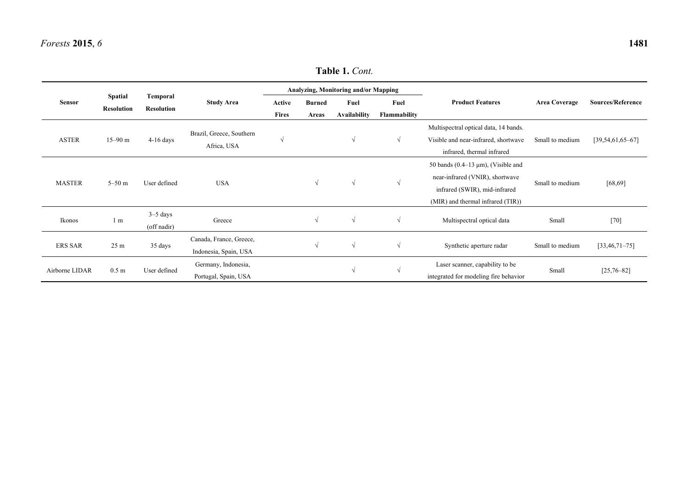# **Table 1.** *Cont.*

| <b>Sensor</b>  | <b>Spatial</b><br><b>Resolution</b> | Temporal<br><b>Resolution</b> | <b>Study Area</b>                                | Analyzing, Monitoring and/or Mapping |               |                                   |                            |                                                                                                                                                   |                      |                          |
|----------------|-------------------------------------|-------------------------------|--------------------------------------------------|--------------------------------------|---------------|-----------------------------------|----------------------------|---------------------------------------------------------------------------------------------------------------------------------------------------|----------------------|--------------------------|
|                |                                     |                               |                                                  | Active                               | <b>Burned</b> | Fuel                              | Fuel                       | <b>Product Features</b>                                                                                                                           | <b>Area Coverage</b> | <b>Sources/Reference</b> |
| <b>ASTER</b>   | $15 - 90$ m                         | $4-16$ days                   | Brazil, Greece, Southern<br>Africa, USA          | <b>Fires</b><br>$\sqrt{ }$           | Areas         | <b>Availability</b><br>$\sqrt{ }$ | Flammability<br>$\sqrt{ }$ | Multispectral optical data, 14 bands.<br>Visible and near-infrared, shortwave<br>infrared, thermal infrared                                       | Small to medium      | $[39, 54, 61, 65 - 67]$  |
| <b>MASTER</b>  | $5 - 50$ m                          | User defined                  | <b>USA</b>                                       |                                      | $\sqrt{ }$    | $\sqrt{ }$                        | $\sqrt{ }$                 | 50 bands $(0.4-13 \mu m)$ , (Visible and<br>near-infrared (VNIR), shortwave<br>infrared (SWIR), mid-infrared<br>(MIR) and thermal infrared (TIR)) | Small to medium      | [68, 69]                 |
| Ikonos         | 1 <sub>m</sub>                      | $3-5$ days<br>(off nadir)     | Greece                                           |                                      | $\sqrt{ }$    | $\sqrt{ }$                        | V                          | Multispectral optical data                                                                                                                        | Small                | $[70]$                   |
| <b>ERS SAR</b> | 25 m                                | 35 days                       | Canada, France, Greece,<br>Indonesia, Spain, USA |                                      | $\sqrt{ }$    | $\sqrt{ }$                        | $\sqrt{ }$                 | Synthetic aperture radar                                                                                                                          | Small to medium      | $[33, 46, 71 - 75]$      |
| Airborne LIDAR | 0.5 <sub>m</sub>                    | User defined                  | Germany, Indonesia,<br>Portugal, Spain, USA      |                                      |               | V                                 |                            | Laser scanner, capability to be<br>integrated for modeling fire behavior                                                                          | Small                | $[25,76-82]$             |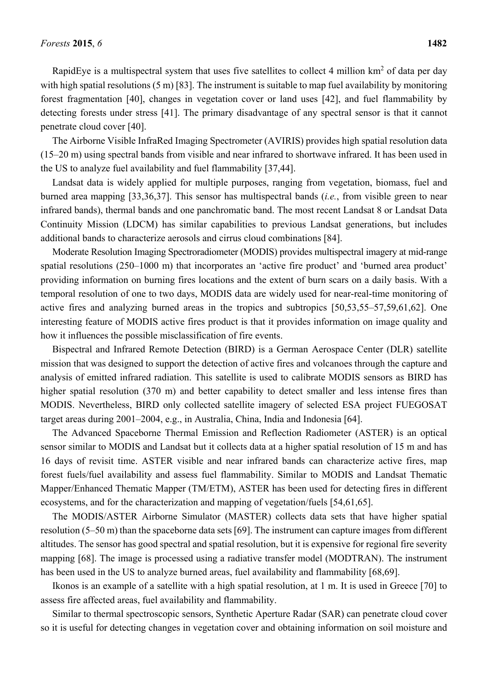RapidEye is a multispectral system that uses five satellites to collect 4 million  $km^2$  of data per day with high spatial resolutions (5 m) [83]. The instrument is suitable to map fuel availability by monitoring forest fragmentation [40], changes in vegetation cover or land uses [42], and fuel flammability by detecting forests under stress [41]. The primary disadvantage of any spectral sensor is that it cannot penetrate cloud cover [40].

The Airborne Visible InfraRed Imaging Spectrometer (AVIRIS) provides high spatial resolution data (15–20 m) using spectral bands from visible and near infrared to shortwave infrared. It has been used in the US to analyze fuel availability and fuel flammability [37,44].

Landsat data is widely applied for multiple purposes, ranging from vegetation, biomass, fuel and burned area mapping [33,36,37]. This sensor has multispectral bands (*i.e.*, from visible green to near infrared bands), thermal bands and one panchromatic band. The most recent Landsat 8 or Landsat Data Continuity Mission (LDCM) has similar capabilities to previous Landsat generations, but includes additional bands to characterize aerosols and cirrus cloud combinations [84].

Moderate Resolution Imaging Spectroradiometer (MODIS) provides multispectral imagery at mid-range spatial resolutions (250–1000 m) that incorporates an 'active fire product' and 'burned area product' providing information on burning fires locations and the extent of burn scars on a daily basis. With a temporal resolution of one to two days, MODIS data are widely used for near-real-time monitoring of active fires and analyzing burned areas in the tropics and subtropics [50,53,55–57,59,61,62]. One interesting feature of MODIS active fires product is that it provides information on image quality and how it influences the possible misclassification of fire events.

Bispectral and Infrared Remote Detection (BIRD) is a German Aerospace Center (DLR) satellite mission that was designed to support the detection of active fires and volcanoes through the capture and analysis of emitted infrared radiation. This satellite is used to calibrate MODIS sensors as BIRD has higher spatial resolution (370 m) and better capability to detect smaller and less intense fires than MODIS. Nevertheless, BIRD only collected satellite imagery of selected ESA project FUEGOSAT target areas during 2001–2004, e.g., in Australia, China, India and Indonesia [64].

The Advanced Spaceborne Thermal Emission and Reflection Radiometer (ASTER) is an optical sensor similar to MODIS and Landsat but it collects data at a higher spatial resolution of 15 m and has 16 days of revisit time. ASTER visible and near infrared bands can characterize active fires, map forest fuels/fuel availability and assess fuel flammability. Similar to MODIS and Landsat Thematic Mapper/Enhanced Thematic Mapper (TM/ETM), ASTER has been used for detecting fires in different ecosystems, and for the characterization and mapping of vegetation/fuels [54,61,65].

The MODIS/ASTER Airborne Simulator (MASTER) collects data sets that have higher spatial resolution (5–50 m) than the spaceborne data sets [69]. The instrument can capture images from different altitudes. The sensor has good spectral and spatial resolution, but it is expensive for regional fire severity mapping [68]. The image is processed using a radiative transfer model (MODTRAN). The instrument has been used in the US to analyze burned areas, fuel availability and flammability [68,69].

Ikonos is an example of a satellite with a high spatial resolution, at 1 m. It is used in Greece [70] to assess fire affected areas, fuel availability and flammability.

Similar to thermal spectroscopic sensors, Synthetic Aperture Radar (SAR) can penetrate cloud cover so it is useful for detecting changes in vegetation cover and obtaining information on soil moisture and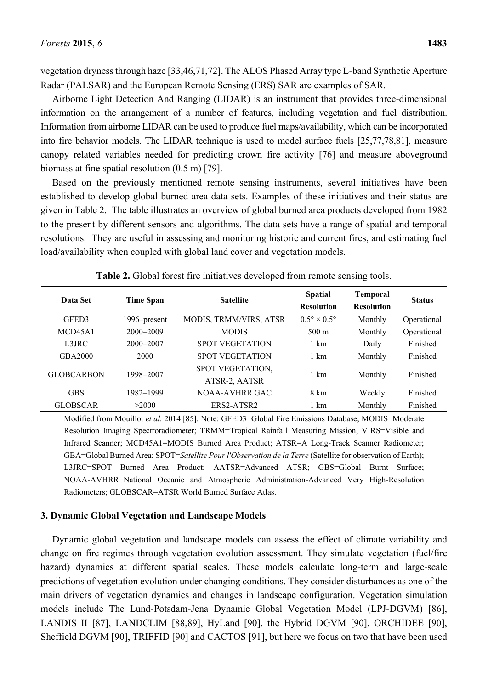vegetation dryness through haze [33,46,71,72]. The ALOS Phased Array type L-band Synthetic Aperture Radar (PALSAR) and the European Remote Sensing (ERS) SAR are examples of SAR.

Airborne Light Detection And Ranging (LIDAR) is an instrument that provides three-dimensional information on the arrangement of a number of features, including vegetation and fuel distribution. Information from airborne LIDAR can be used to produce fuel maps/availability, which can be incorporated into fire behavior models. The LIDAR technique is used to model surface fuels [25,77,78,81], measure canopy related variables needed for predicting crown fire activity [76] and measure aboveground biomass at fine spatial resolution (0.5 m) [79].

Based on the previously mentioned remote sensing instruments, several initiatives have been established to develop global burned area data sets. Examples of these initiatives and their status are given in Table 2. The table illustrates an overview of global burned area products developed from 1982 to the present by different sensors and algorithms. The data sets have a range of spatial and temporal resolutions. They are useful in assessing and monitoring historic and current fires, and estimating fuel load/availability when coupled with global land cover and vegetation models.

| Data Set          | <b>Time Span</b> | <b>Satellite</b>                  | <b>Spatial</b><br><b>Resolution</b> | <b>Temporal</b><br><b>Resolution</b> | <b>Status</b> |
|-------------------|------------------|-----------------------------------|-------------------------------------|--------------------------------------|---------------|
| GFED3             | 1996–present     | MODIS, TRMM/VIRS, ATSR            | $0.5^\circ \times 0.5^\circ$        | Monthly                              | Operational   |
| MCD45A1           | $2000 - 2009$    | <b>MODIS</b>                      | $500 \text{ m}$                     | Monthly                              | Operational   |
| L3JRC             | 2000-2007        | <b>SPOT VEGETATION</b>            | 1 km                                | Daily                                | Finished      |
| GBA2000           | 2000             | <b>SPOT VEGETATION</b>            | 1 km                                | Monthly                              | Finished      |
| <b>GLOBCARBON</b> | 1998-2007        | SPOT VEGETATION,<br>ATSR-2, AATSR | 1 km                                | Monthly                              | Finished      |
| <b>GBS</b>        | 1982-1999        | NOAA-AVHRR GAC                    | 8 km                                | Weekly                               | Finished      |
| <b>GLOBSCAR</b>   | >2000            | ERS2-ATSR2                        | 1 km                                | Monthly                              | Finished      |

**Table 2.** Global forest fire initiatives developed from remote sensing tools.

Modified from Mouillot *et al.* 2014 [85]. Note: GFED3=Global Fire Emissions Database; MODIS=Moderate Resolution Imaging Spectroradiometer; TRMM=Tropical Rainfall Measuring Mission; VIRS=Visible and Infrared Scanner; MCD45A1=MODIS Burned Area Product; ATSR=A Long-Track Scanner Radiometer; GBA=Global Burned Area; SPOT=*Satellite Pour l'Observation de la Terre* (Satellite for observation of Earth); L3JRC=SPOT Burned Area Product; AATSR=Advanced ATSR; GBS=Global Burnt Surface; NOAA-AVHRR=National Oceanic and Atmospheric Administration-Advanced Very High-Resolution Radiometers; GLOBSCAR=ATSR World Burned Surface Atlas.

#### **3. Dynamic Global Vegetation and Landscape Models**

Dynamic global vegetation and landscape models can assess the effect of climate variability and change on fire regimes through vegetation evolution assessment. They simulate vegetation (fuel/fire hazard) dynamics at different spatial scales. These models calculate long-term and large-scale predictions of vegetation evolution under changing conditions. They consider disturbances as one of the main drivers of vegetation dynamics and changes in landscape configuration. Vegetation simulation models include The Lund-Potsdam-Jena Dynamic Global Vegetation Model (LPJ-DGVM) [86], LANDIS II [87], LANDCLIM [88,89], HyLand [90], the Hybrid DGVM [90], ORCHIDEE [90], Sheffield DGVM [90], TRIFFID [90] and CACTOS [91], but here we focus on two that have been used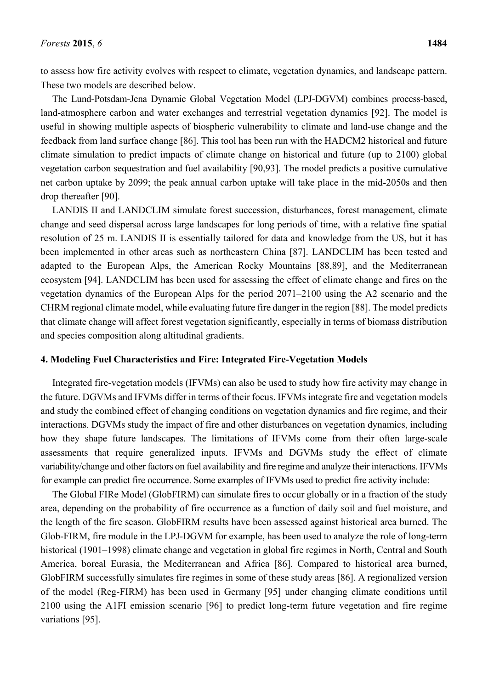to assess how fire activity evolves with respect to climate, vegetation dynamics, and landscape pattern. These two models are described below.

The Lund-Potsdam-Jena Dynamic Global Vegetation Model (LPJ-DGVM) combines process-based, land-atmosphere carbon and water exchanges and terrestrial vegetation dynamics [92]. The model is useful in showing multiple aspects of biospheric vulnerability to climate and land-use change and the feedback from land surface change [86]. This tool has been run with the HADCM2 historical and future climate simulation to predict impacts of climate change on historical and future (up to 2100) global vegetation carbon sequestration and fuel availability [90,93]. The model predicts a positive cumulative net carbon uptake by 2099; the peak annual carbon uptake will take place in the mid-2050s and then drop thereafter [90].

LANDIS II and LANDCLIM simulate forest succession, disturbances, forest management, climate change and seed dispersal across large landscapes for long periods of time, with a relative fine spatial resolution of 25 m. LANDIS II is essentially tailored for data and knowledge from the US, but it has been implemented in other areas such as northeastern China [87]. LANDCLIM has been tested and adapted to the European Alps, the American Rocky Mountains [88,89], and the Mediterranean ecosystem [94]. LANDCLIM has been used for assessing the effect of climate change and fires on the vegetation dynamics of the European Alps for the period 2071–2100 using the A2 scenario and the CHRM regional climate model, while evaluating future fire danger in the region [88]. The model predicts that climate change will affect forest vegetation significantly, especially in terms of biomass distribution and species composition along altitudinal gradients.

# **4. Modeling Fuel Characteristics and Fire: Integrated Fire-Vegetation Models**

Integrated fire-vegetation models (IFVMs) can also be used to study how fire activity may change in the future. DGVMs and IFVMs differ in terms of their focus. IFVMs integrate fire and vegetation models and study the combined effect of changing conditions on vegetation dynamics and fire regime, and their interactions. DGVMs study the impact of fire and other disturbances on vegetation dynamics, including how they shape future landscapes. The limitations of IFVMs come from their often large-scale assessments that require generalized inputs. IFVMs and DGVMs study the effect of climate variability/change and other factors on fuel availability and fire regime and analyze their interactions. IFVMs for example can predict fire occurrence. Some examples of IFVMs used to predict fire activity include:

The Global FIRe Model (GlobFIRM) can simulate fires to occur globally or in a fraction of the study area, depending on the probability of fire occurrence as a function of daily soil and fuel moisture, and the length of the fire season. GlobFIRM results have been assessed against historical area burned. The Glob-FIRM, fire module in the LPJ-DGVM for example, has been used to analyze the role of long-term historical (1901–1998) climate change and vegetation in global fire regimes in North, Central and South America, boreal Eurasia, the Mediterranean and Africa [86]. Compared to historical area burned, GlobFIRM successfully simulates fire regimes in some of these study areas [86]. A regionalized version of the model (Reg-FIRM) has been used in Germany [95] under changing climate conditions until 2100 using the A1FI emission scenario [96] to predict long-term future vegetation and fire regime variations [95].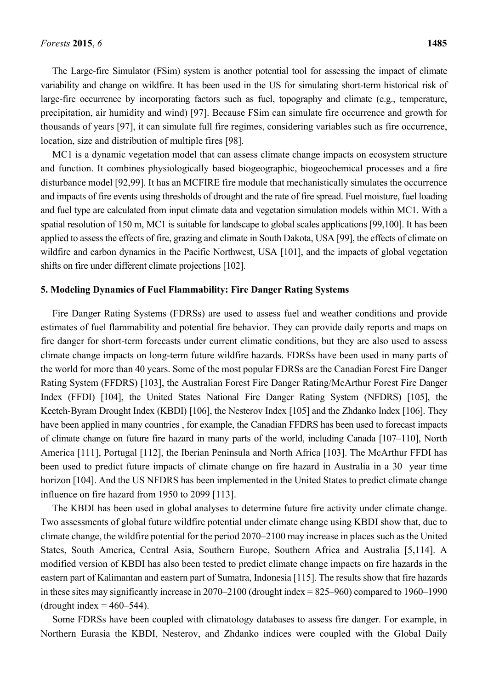The Large-fire Simulator (FSim) system is another potential tool for assessing the impact of climate variability and change on wildfire. It has been used in the US for simulating short-term historical risk of large-fire occurrence by incorporating factors such as fuel, topography and climate (e.g., temperature, precipitation, air humidity and wind) [97]. Because FSim can simulate fire occurrence and growth for thousands of years [97], it can simulate full fire regimes, considering variables such as fire occurrence, location, size and distribution of multiple fires [98].

MC1 is a dynamic vegetation model that can assess climate change impacts on ecosystem structure and function. It combines physiologically based biogeographic, biogeochemical processes and a fire disturbance model [92,99]. It has an MCFIRE fire module that mechanistically simulates the occurrence and impacts of fire events using thresholds of drought and the rate of fire spread. Fuel moisture, fuel loading and fuel type are calculated from input climate data and vegetation simulation models within MC1. With a spatial resolution of 150 m, MC1 is suitable for landscape to global scales applications [99,100]. It has been applied to assess the effects of fire, grazing and climate in South Dakota, USA [99], the effects of climate on wildfire and carbon dynamics in the Pacific Northwest, USA [101], and the impacts of global vegetation shifts on fire under different climate projections [102].

#### **5. Modeling Dynamics of Fuel Flammability: Fire Danger Rating Systems**

Fire Danger Rating Systems (FDRSs) are used to assess fuel and weather conditions and provide estimates of fuel flammability and potential fire behavior. They can provide daily reports and maps on fire danger for short-term forecasts under current climatic conditions, but they are also used to assess climate change impacts on long-term future wildfire hazards. FDRSs have been used in many parts of the world for more than 40 years. Some of the most popular FDRSs are the Canadian Forest Fire Danger Rating System (FFDRS) [103], the Australian Forest Fire Danger Rating/McArthur Forest Fire Danger Index (FFDI) [104], the United States National Fire Danger Rating System (NFDRS) [105], the Keetch-Byram Drought Index (KBDI) [106], the Nesterov Index [105] and the Zhdanko Index [106]. They have been applied in many countries , for example, the Canadian FFDRS has been used to forecast impacts of climate change on future fire hazard in many parts of the world, including Canada [107–110], North America [111], Portugal [112], the Iberian Peninsula and North Africa [103]. The McArthur FFDI has been used to predict future impacts of climate change on fire hazard in Australia in a 30 year time horizon [104]. And the US NFDRS has been implemented in the United States to predict climate change influence on fire hazard from 1950 to 2099 [113].

The KBDI has been used in global analyses to determine future fire activity under climate change. Two assessments of global future wildfire potential under climate change using KBDI show that, due to climate change, the wildfire potential for the period 2070–2100 may increase in places such as the United States, South America, Central Asia, Southern Europe, Southern Africa and Australia [5,114]. A modified version of KBDI has also been tested to predict climate change impacts on fire hazards in the eastern part of Kalimantan and eastern part of Sumatra, Indonesia [115]. The results show that fire hazards in these sites may significantly increase in 2070–2100 (drought index = 825–960) compared to 1960–1990 (drought index  $= 460 - 544$ ).

Some FDRSs have been coupled with climatology databases to assess fire danger. For example, in Northern Eurasia the KBDI, Nesterov, and Zhdanko indices were coupled with the Global Daily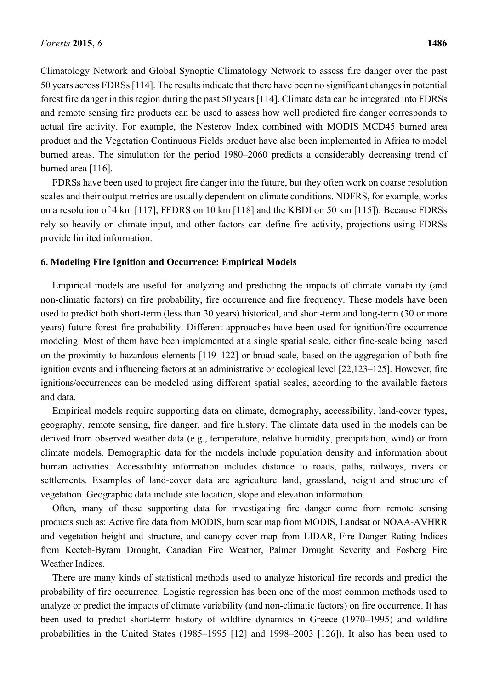Climatology Network and Global Synoptic Climatology Network to assess fire danger over the past 50 years across FDRSs [114]. The results indicate that there have been no significant changes in potential forest fire danger in this region during the past 50 years [114]. Climate data can be integrated into FDRSs and remote sensing fire products can be used to assess how well predicted fire danger corresponds to actual fire activity. For example, the Nesterov Index combined with MODIS MCD45 burned area product and the Vegetation Continuous Fields product have also been implemented in Africa to model burned areas. The simulation for the period 1980–2060 predicts a considerably decreasing trend of burned area [116].

FDRSs have been used to project fire danger into the future, but they often work on coarse resolution scales and their output metrics are usually dependent on climate conditions. NDFRS, for example, works on a resolution of 4 km [117], FFDRS on 10 km [118] and the KBDI on 50 km [115]). Because FDRSs rely so heavily on climate input, and other factors can define fire activity, projections using FDRSs provide limited information.

#### **6. Modeling Fire Ignition and Occurrence: Empirical Models**

Empirical models are useful for analyzing and predicting the impacts of climate variability (and non-climatic factors) on fire probability, fire occurrence and fire frequency. These models have been used to predict both short-term (less than 30 years) historical, and short-term and long-term (30 or more years) future forest fire probability. Different approaches have been used for ignition/fire occurrence modeling. Most of them have been implemented at a single spatial scale, either fine-scale being based on the proximity to hazardous elements [119–122] or broad-scale, based on the aggregation of both fire ignition events and influencing factors at an administrative or ecological level [22,123–125]. However, fire ignitions/occurrences can be modeled using different spatial scales, according to the available factors and data.

Empirical models require supporting data on climate, demography, accessibility, land-cover types, geography, remote sensing, fire danger, and fire history. The climate data used in the models can be derived from observed weather data (e.g., temperature, relative humidity, precipitation, wind) or from climate models. Demographic data for the models include population density and information about human activities. Accessibility information includes distance to roads, paths, railways, rivers or settlements. Examples of land-cover data are agriculture land, grassland, height and structure of vegetation. Geographic data include site location, slope and elevation information.

Often, many of these supporting data for investigating fire danger come from remote sensing products such as: Active fire data from MODIS, burn scar map from MODIS, Landsat or NOAA-AVHRR and vegetation height and structure, and canopy cover map from LIDAR, Fire Danger Rating Indices from Keetch-Byram Drought, Canadian Fire Weather, Palmer Drought Severity and Fosberg Fire Weather Indices.

There are many kinds of statistical methods used to analyze historical fire records and predict the probability of fire occurrence. Logistic regression has been one of the most common methods used to analyze or predict the impacts of climate variability (and non-climatic factors) on fire occurrence. It has been used to predict short-term history of wildfire dynamics in Greece (1970–1995) and wildfire probabilities in the United States (1985–1995 [12] and 1998–2003 [126]). It also has been used to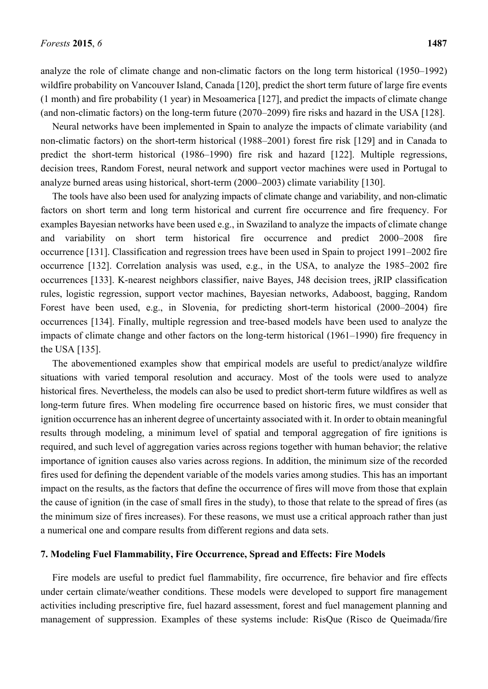analyze the role of climate change and non-climatic factors on the long term historical (1950–1992) wildfire probability on Vancouver Island, Canada [120], predict the short term future of large fire events (1 month) and fire probability (1 year) in Mesoamerica [127], and predict the impacts of climate change (and non-climatic factors) on the long-term future (2070–2099) fire risks and hazard in the USA [128].

Neural networks have been implemented in Spain to analyze the impacts of climate variability (and non-climatic factors) on the short-term historical (1988–2001) forest fire risk [129] and in Canada to predict the short-term historical (1986–1990) fire risk and hazard [122]. Multiple regressions, decision trees, Random Forest, neural network and support vector machines were used in Portugal to analyze burned areas using historical, short-term (2000–2003) climate variability [130].

The tools have also been used for analyzing impacts of climate change and variability, and non-climatic factors on short term and long term historical and current fire occurrence and fire frequency. For examples Bayesian networks have been used e.g., in Swaziland to analyze the impacts of climate change and variability on short term historical fire occurrence and predict 2000–2008 fire occurrence [131]. Classification and regression trees have been used in Spain to project 1991–2002 fire occurrence [132]. Correlation analysis was used, e.g., in the USA, to analyze the 1985–2002 fire occurrences [133]. K-nearest neighbors classifier, naive Bayes, J48 decision trees, jRIP classification rules, logistic regression, support vector machines, Bayesian networks, Adaboost, bagging, Random Forest have been used, e.g., in Slovenia, for predicting short-term historical (2000–2004) fire occurrences [134]. Finally, multiple regression and tree-based models have been used to analyze the impacts of climate change and other factors on the long-term historical (1961–1990) fire frequency in the USA [135].

The abovementioned examples show that empirical models are useful to predict/analyze wildfire situations with varied temporal resolution and accuracy. Most of the tools were used to analyze historical fires. Nevertheless, the models can also be used to predict short-term future wildfires as well as long-term future fires. When modeling fire occurrence based on historic fires, we must consider that ignition occurrence has an inherent degree of uncertainty associated with it. In order to obtain meaningful results through modeling, a minimum level of spatial and temporal aggregation of fire ignitions is required, and such level of aggregation varies across regions together with human behavior; the relative importance of ignition causes also varies across regions. In addition, the minimum size of the recorded fires used for defining the dependent variable of the models varies among studies. This has an important impact on the results, as the factors that define the occurrence of fires will move from those that explain the cause of ignition (in the case of small fires in the study), to those that relate to the spread of fires (as the minimum size of fires increases). For these reasons, we must use a critical approach rather than just a numerical one and compare results from different regions and data sets.

# **7. Modeling Fuel Flammability, Fire Occurrence, Spread and Effects: Fire Models**

Fire models are useful to predict fuel flammability, fire occurrence, fire behavior and fire effects under certain climate/weather conditions. These models were developed to support fire management activities including prescriptive fire, fuel hazard assessment, forest and fuel management planning and management of suppression. Examples of these systems include: RisQue (Risco de Queimada/fire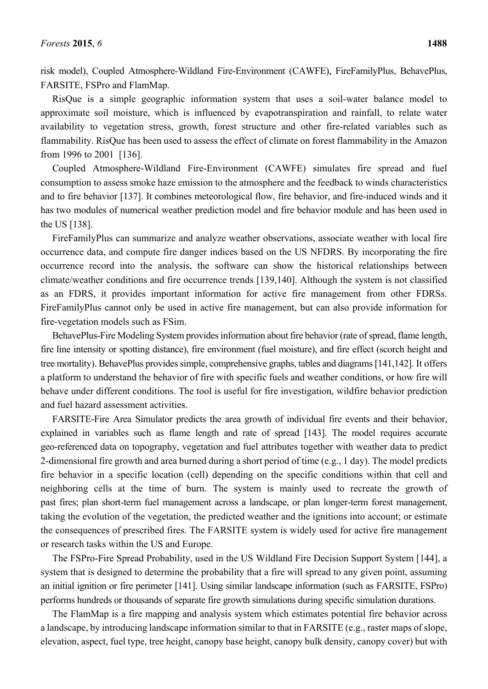risk model), Coupled Atmosphere-Wildland Fire-Environment (CAWFE), FireFamilyPlus, BehavePlus, FARSITE, FSPro and FlamMap.

RisQue is a simple geographic information system that uses a soil-water balance model to approximate soil moisture, which is influenced by evapotranspiration and rainfall, to relate water availability to vegetation stress, growth, forest structure and other fire-related variables such as flammability. RisQue has been used to assess the effect of climate on forest flammability in the Amazon from 1996 to 2001 [136].

Coupled Atmosphere-Wildland Fire-Environment (CAWFE) simulates fire spread and fuel consumption to assess smoke haze emission to the atmosphere and the feedback to winds characteristics and to fire behavior [137]. It combines meteorological flow, fire behavior, and fire-induced winds and it has two modules of numerical weather prediction model and fire behavior module and has been used in the US [138].

FireFamilyPlus can summarize and analyze weather observations, associate weather with local fire occurrence data, and compute fire danger indices based on the US NFDRS. By incorporating the fire occurrence record into the analysis, the software can show the historical relationships between climate/weather conditions and fire occurrence trends [139,140]. Although the system is not classified as an FDRS, it provides important information for active fire management from other FDRSs. FireFamilyPlus cannot only be used in active fire management, but can also provide information for fire-vegetation models such as FSim.

BehavePlus-Fire Modeling System provides information about fire behavior (rate of spread, flame length, fire line intensity or spotting distance), fire environment (fuel moisture), and fire effect (scorch height and tree mortality). BehavePlus provides simple, comprehensive graphs, tables and diagrams [141,142]. It offers a platform to understand the behavior of fire with specific fuels and weather conditions, or how fire will behave under different conditions. The tool is useful for fire investigation, wildfire behavior prediction and fuel hazard assessment activities.

FARSITE-Fire Area Simulator predicts the area growth of individual fire events and their behavior, explained in variables such as flame length and rate of spread [143]. The model requires accurate geo-referenced data on topography, vegetation and fuel attributes together with weather data to predict 2-dimensional fire growth and area burned during a short period of time (e.g., 1 day). The model predicts fire behavior in a specific location (cell) depending on the specific conditions within that cell and neighboring cells at the time of burn. The system is mainly used to recreate the growth of past fires; plan short-term fuel management across a landscape, or plan longer-term forest management, taking the evolution of the vegetation, the predicted weather and the ignitions into account; or estimate the consequences of prescribed fires. The FARSITE system is widely used for active fire management or research tasks within the US and Europe.

The FSPro-Fire Spread Probability, used in the US Wildland Fire Decision Support System [144], a system that is designed to determine the probability that a fire will spread to any given point, assuming an initial ignition or fire perimeter [141]. Using similar landscape information (such as FARSITE, FSPro) performs hundreds or thousands of separate fire growth simulations during specific simulation durations.

The FlamMap is a fire mapping and analysis system which estimates potential fire behavior across a landscape, by introducing landscape information similar to that in FARSITE (e.g., raster maps of slope, elevation, aspect, fuel type, tree height, canopy base height, canopy bulk density, canopy cover) but with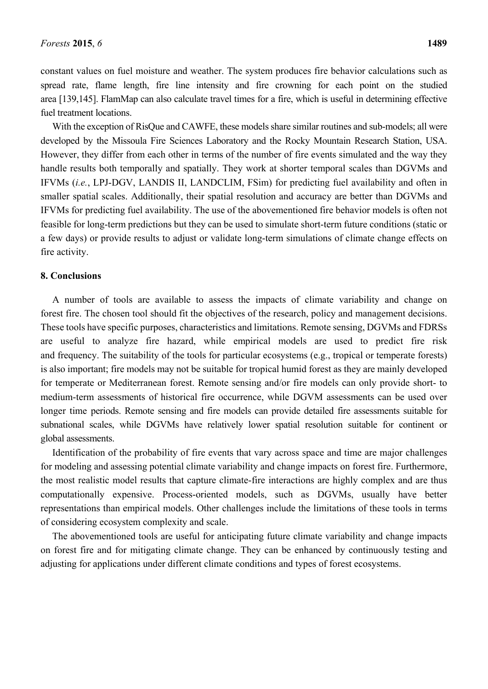constant values on fuel moisture and weather. The system produces fire behavior calculations such as spread rate, flame length, fire line intensity and fire crowning for each point on the studied area [139,145]. FlamMap can also calculate travel times for a fire, which is useful in determining effective fuel treatment locations.

With the exception of RisQue and CAWFE, these models share similar routines and sub-models; all were developed by the Missoula Fire Sciences Laboratory and the Rocky Mountain Research Station, USA. However, they differ from each other in terms of the number of fire events simulated and the way they handle results both temporally and spatially. They work at shorter temporal scales than DGVMs and IFVMs (*i.e.*, LPJ-DGV, LANDIS II, LANDCLIM, FSim) for predicting fuel availability and often in smaller spatial scales. Additionally, their spatial resolution and accuracy are better than DGVMs and IFVMs for predicting fuel availability. The use of the abovementioned fire behavior models is often not feasible for long-term predictions but they can be used to simulate short-term future conditions (static or a few days) or provide results to adjust or validate long-term simulations of climate change effects on fire activity.

# **8. Conclusions**

A number of tools are available to assess the impacts of climate variability and change on forest fire. The chosen tool should fit the objectives of the research, policy and management decisions. These tools have specific purposes, characteristics and limitations. Remote sensing, DGVMs and FDRSs are useful to analyze fire hazard, while empirical models are used to predict fire risk and frequency. The suitability of the tools for particular ecosystems (e.g., tropical or temperate forests) is also important; fire models may not be suitable for tropical humid forest as they are mainly developed for temperate or Mediterranean forest. Remote sensing and/or fire models can only provide short- to medium-term assessments of historical fire occurrence, while DGVM assessments can be used over longer time periods. Remote sensing and fire models can provide detailed fire assessments suitable for subnational scales, while DGVMs have relatively lower spatial resolution suitable for continent or global assessments.

Identification of the probability of fire events that vary across space and time are major challenges for modeling and assessing potential climate variability and change impacts on forest fire. Furthermore, the most realistic model results that capture climate-fire interactions are highly complex and are thus computationally expensive. Process-oriented models, such as DGVMs, usually have better representations than empirical models. Other challenges include the limitations of these tools in terms of considering ecosystem complexity and scale.

The abovementioned tools are useful for anticipating future climate variability and change impacts on forest fire and for mitigating climate change. They can be enhanced by continuously testing and adjusting for applications under different climate conditions and types of forest ecosystems.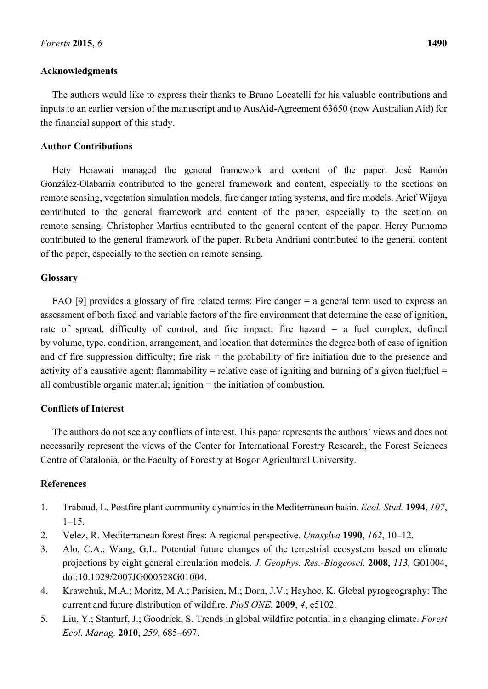# **Acknowledgments**

The authors would like to express their thanks to Bruno Locatelli for his valuable contributions and inputs to an earlier version of the manuscript and to AusAid-Agreement 63650 (now Australian Aid) for the financial support of this study.

# **Author Contributions**

Hety Herawati managed the general framework and content of the paper. José Ramón González-Olabarria contributed to the general framework and content, especially to the sections on remote sensing, vegetation simulation models, fire danger rating systems, and fire models. Arief Wijaya contributed to the general framework and content of the paper, especially to the section on remote sensing. Christopher Martius contributed to the general content of the paper. Herry Purnomo contributed to the general framework of the paper. Rubeta Andriani contributed to the general content of the paper, especially to the section on remote sensing.

#### **Glossary**

FAO [9] provides a glossary of fire related terms: Fire danger = a general term used to express an assessment of both fixed and variable factors of the fire environment that determine the ease of ignition, rate of spread, difficulty of control, and fire impact; fire hazard  $=$  a fuel complex, defined by volume, type, condition, arrangement, and location that determines the degree both of ease of ignition and of fire suppression difficulty; fire risk  $=$  the probability of fire initiation due to the presence and activity of a causative agent; flammability = relative ease of igniting and burning of a given fuel; fuel = all combustible organic material; ignition = the initiation of combustion.

# **Conflicts of Interest**

The authors do not see any conflicts of interest. This paper represents the authors' views and does not necessarily represent the views of the Center for International Forestry Research, the Forest Sciences Centre of Catalonia, or the Faculty of Forestry at Bogor Agricultural University.

# **References**

- 1. Trabaud, L. Postfire plant community dynamics in the Mediterranean basin. *Ecol. Stud.* **1994**, *107*,  $1 - 15$ .
- 2. Velez, R. Mediterranean forest fires: A regional perspective. *Unasylva* **1990**, *162*, 10–12.
- 3. Alo, C.A.; Wang, G.L. Potential future changes of the terrestrial ecosystem based on climate projections by eight general circulation models. *J. Geophys. Res.-Biogeosci.* **2008**, *113,* G01004, doi:10.1029/2007JG000528G01004.
- 4. Krawchuk, M.A.; Moritz, M.A.; Parisien, M.; Dorn, J.V.; Hayhoe, K. Global pyrogeography: The current and future distribution of wildfire. *PloS ONE*. **2009**, *4*, e5102.
- 5. Liu, Y.; Stanturf, J.; Goodrick, S. Trends in global wildfire potential in a changing climate. *Forest Ecol. Manag.* **2010**, *259*, 685–697.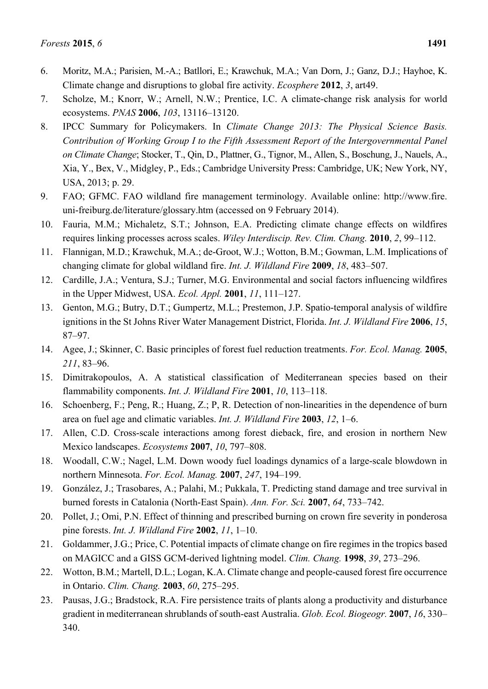- 6. Moritz, M.A.; Parisien, M.-A.; Batllori, E.; Krawchuk, M.A.; Van Dorn, J.; Ganz, D.J.; Hayhoe, K. Climate change and disruptions to global fire activity. *Ecosphere* **2012**, *3*, art49.
- 7. Scholze, M.; Knorr, W.; Arnell, N.W.; Prentice, I.C. A climate-change risk analysis for world ecosystems. *PNAS* **2006**, *103*, 13116–13120.
- 8. IPCC Summary for Policymakers. In *Climate Change 2013: The Physical Science Basis. Contribution of Working Group I to the Fifth Assessment Report of the Intergovernmental Panel on Climate Change*; Stocker, T., Qin, D., Plattner, G., Tignor, M., Allen, S., Boschung, J., Nauels, A., Xia, Y., Bex, V., Midgley, P., Eds.; Cambridge University Press: Cambridge, UK; New York, NY, USA, 2013; p. 29.
- 9. FAO; GFMC. FAO wildland fire management terminology. Available online: http://www.fire. uni-freiburg.de/literature/glossary.htm (accessed on 9 February 2014).
- 10. Fauria, M.M.; Michaletz, S.T.; Johnson, E.A. Predicting climate change effects on wildfires requires linking processes across scales. *Wiley Interdiscip. Rev. Clim. Chang.* **2010**, *2*, 99–112.
- 11. Flannigan, M.D.; Krawchuk, M.A.; de-Groot, W.J.; Wotton, B.M.; Gowman, L.M. Implications of changing climate for global wildland fire. *Int. J. Wildland Fire* **2009**, *18*, 483–507.
- 12. Cardille, J.A.; Ventura, S.J.; Turner, M.G. Environmental and social factors influencing wildfires in the Upper Midwest, USA. *Ecol. Appl.* **2001**, *11*, 111–127.
- 13. Genton, M.G.; Butry, D.T.; Gumpertz, M.L.; Prestemon, J.P. Spatio-temporal analysis of wildfire ignitions in the St Johns River Water Management District, Florida. *Int. J. Wildland Fire* **2006**, *15*, 87–97.
- 14. Agee, J.; Skinner, C. Basic principles of forest fuel reduction treatments. *For. Ecol. Manag.* **2005**, *211*, 83–96.
- 15. Dimitrakopoulos, A. A statistical classification of Mediterranean species based on their flammability components. *Int. J. Wildland Fire* **2001**, *10*, 113–118.
- 16. Schoenberg, F.; Peng, R.; Huang, Z.; P, R. Detection of non-linearities in the dependence of burn area on fuel age and climatic variables. *Int. J. Wildland Fire* **2003**, *12*, 1–6.
- 17. Allen, C.D. Cross-scale interactions among forest dieback, fire, and erosion in northern New Mexico landscapes. *Ecosystems* **2007**, *10*, 797–808.
- 18. Woodall, C.W.; Nagel, L.M. Down woody fuel loadings dynamics of a large-scale blowdown in northern Minnesota. *For. Ecol. Manag.* **2007**, *247*, 194–199.
- 19. González, J.; Trasobares, A.; Palahi, M.; Pukkala, T. Predicting stand damage and tree survival in burned forests in Catalonia (North-East Spain). *Ann. For. Sci.* **2007**, *64*, 733–742.
- 20. Pollet, J.; Omi, P.N. Effect of thinning and prescribed burning on crown fire severity in ponderosa pine forests. *Int. J. Wildland Fire* **2002**, *11*, 1–10.
- 21. Goldammer, J.G.; Price, C. Potential impacts of climate change on fire regimes in the tropics based on MAGICC and a GISS GCM-derived lightning model. *Clim. Chang.* **1998**, *39*, 273–296.
- 22. Wotton, B.M.; Martell, D.L.; Logan, K.A. Climate change and people-caused forest fire occurrence in Ontario. *Clim. Chang.* **2003**, *60*, 275–295.
- 23. Pausas, J.G.; Bradstock, R.A. Fire persistence traits of plants along a productivity and disturbance gradient in mediterranean shrublands of south-east Australia. *Glob. Ecol. Biogeogr.* **2007**, *16*, 330– 340.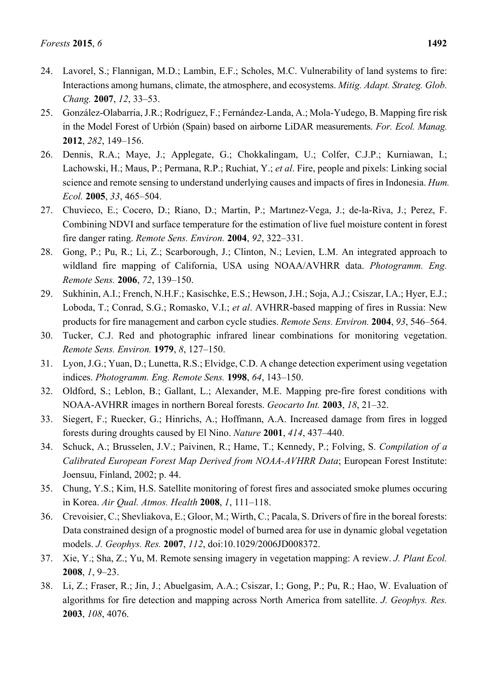- 24. Lavorel, S.; Flannigan, M.D.; Lambin, E.F.; Scholes, M.C. Vulnerability of land systems to fire: Interactions among humans, climate, the atmosphere, and ecosystems. *Mitig. Adapt. Strateg. Glob. Chang.* **2007**, *12*, 33–53.
- 25. González-Olabarria, J.R.; Rodríguez, F.; Fernández-Landa, A.; Mola-Yudego, B. Mapping fire risk in the Model Forest of Urbión (Spain) based on airborne LiDAR measurements. *For. Ecol. Manag.* **2012**, *282*, 149–156.
- 26. Dennis, R.A.; Maye, J.; Applegate, G.; Chokkalingam, U.; Colfer, C.J.P.; Kurniawan, I.; Lachowski, H.; Maus, P.; Permana, R.P.; Ruchiat, Y.; *et al*. Fire, people and pixels: Linking social science and remote sensing to understand underlying causes and impacts of fires in Indonesia. *Hum. Ecol.* **2005**, *33*, 465–504.
- 27. Chuvieco, E.; Cocero, D.; Riano, D.; Martin, P.; Martınez-Vega, J.; de-la-Riva, J.; Perez, F. Combining NDVI and surface temperature for the estimation of live fuel moisture content in forest fire danger rating. *Remote Sens. Environ.* **2004**, *92*, 322–331.
- 28. Gong, P.; Pu, R.; Li, Z.; Scarborough, J.; Clinton, N.; Levien, L.M. An integrated approach to wildland fire mapping of California, USA using NOAA/AVHRR data. *Photogramm. Eng. Remote Sens.* **2006**, *72*, 139–150.
- 29. Sukhinin, A.I.; French, N.H.F.; Kasischke, E.S.; Hewson, J.H.; Soja, A.J.; Csiszar, I.A.; Hyer, E.J.; Loboda, T.; Conrad, S.G.; Romasko, V.I.; *et al*. AVHRR-based mapping of fires in Russia: New products for fire management and carbon cycle studies. *Remote Sens. Environ.* **2004**, *93*, 546–564.
- 30. Tucker, C.J. Red and photographic infrared linear combinations for monitoring vegetation. *Remote Sens. Environ.* **1979**, *8*, 127–150.
- 31. Lyon, J.G.; Yuan, D.; Lunetta, R.S.; Elvidge, C.D. A change detection experiment using vegetation indices. *Photogramm. Eng. Remote Sens.* **1998**, *64*, 143–150.
- 32. Oldford, S.; Leblon, B.; Gallant, L.; Alexander, M.E. Mapping pre-fire forest conditions with NOAA-AVHRR images in northern Boreal forests. *Geocarto Int.* **2003**, *18*, 21–32.
- 33. Siegert, F.; Ruecker, G.; Hinrichs, A.; Hoffmann, A.A. Increased damage from fires in logged forests during droughts caused by El Nino. *Nature* **2001**, *414*, 437–440.
- 34. Schuck, A.; Brusselen, J.V.; Paivinen, R.; Hame, T.; Kennedy, P.; Folving, S. *Compilation of a Calibrated European Forest Map Derived from NOAA-AVHRR Data*; European Forest Institute: Joensuu, Finland, 2002; p. 44.
- 35. Chung, Y.S.; Kim, H.S. Satellite monitoring of forest fires and associated smoke plumes occuring in Korea. *Air Qual. Atmos. Health* **2008**, *1*, 111–118.
- 36. Crevoisier, C.; Shevliakova, E.; Gloor, M.; Wirth, C.; Pacala, S. Drivers of fire in the boreal forests: Data constrained design of a prognostic model of burned area for use in dynamic global vegetation models. *J. Geophys. Res.* **2007**, *112*, doi:10.1029/2006JD008372.
- 37. Xie, Y.; Sha, Z.; Yu, M. Remote sensing imagery in vegetation mapping: A review. *J. Plant Ecol.* **2008**, *1*, 9–23.
- 38. Li, Z.; Fraser, R.; Jin, J.; Abuelgasim, A.A.; Csiszar, I.; Gong, P.; Pu, R.; Hao, W. Evaluation of algorithms for fire detection and mapping across North America from satellite. *J. Geophys. Res.* **2003**, *108*, 4076.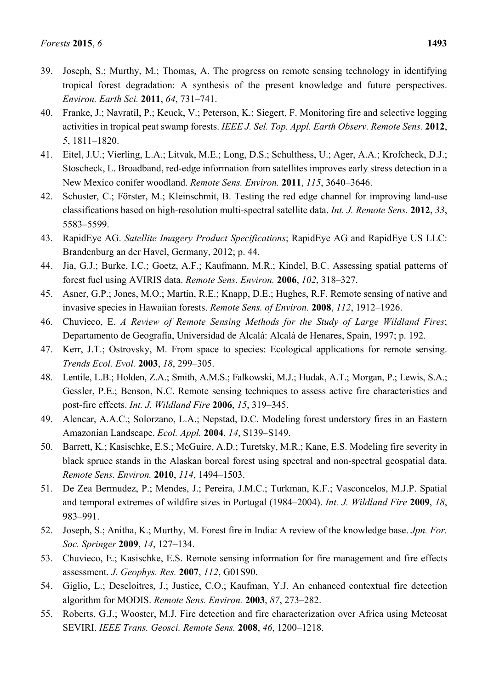- 39. Joseph, S.; Murthy, M.; Thomas, A. The progress on remote sensing technology in identifying tropical forest degradation: A synthesis of the present knowledge and future perspectives. *Environ. Earth Sci.* **2011**, *64*, 731–741.
- 40. Franke, J.; Navratil, P.; Keuck, V.; Peterson, K.; Siegert, F. Monitoring fire and selective logging activities in tropical peat swamp forests. *IEEE J. Sel. Top. Appl. Earth Observ. Remote Sens.* **2012**, *5*, 1811–1820.
- 41. Eitel, J.U.; Vierling, L.A.; Litvak, M.E.; Long, D.S.; Schulthess, U.; Ager, A.A.; Krofcheck, D.J.; Stoscheck, L. Broadband, red-edge information from satellites improves early stress detection in a New Mexico conifer woodland. *Remote Sens. Environ.* **2011**, *115*, 3640–3646.
- 42. Schuster, C.; Förster, M.; Kleinschmit, B. Testing the red edge channel for improving land-use classifications based on high-resolution multi-spectral satellite data. *Int. J. Remote Sens.* **2012**, *33*, 5583–5599.
- 43. RapidEye AG. *Satellite Imagery Product Specifications*; RapidEye AG and RapidEye US LLC: Brandenburg an der Havel, Germany, 2012; p. 44.
- 44. Jia, G.J.; Burke, I.C.; Goetz, A.F.; Kaufmann, M.R.; Kindel, B.C. Assessing spatial patterns of forest fuel using AVIRIS data. *Remote Sens. Environ.* **2006**, *102*, 318–327.
- 45. Asner, G.P.; Jones, M.O.; Martin, R.E.; Knapp, D.E.; Hughes, R.F. Remote sensing of native and invasive species in Hawaiian forests. *Remote Sens. of Environ.* **2008**, *112*, 1912–1926.
- 46. Chuvieco, E. *A Review of Remote Sensing Methods for the Study of Large Wildland Fires*; Departamento de Geografía, Universidad de Alcalá: Alcalá de Henares, Spain, 1997; p. 192.
- 47. Kerr, J.T.; Ostrovsky, M. From space to species: Ecological applications for remote sensing. *Trends Ecol. Evol.* **2003**, *18*, 299–305.
- 48. Lentile, L.B.; Holden, Z.A.; Smith, A.M.S.; Falkowski, M.J.; Hudak, A.T.; Morgan, P.; Lewis, S.A.; Gessler, P.E.; Benson, N.C. Remote sensing techniques to assess active fire characteristics and post-fire effects. *Int. J. Wildland Fire* **2006**, *15*, 319–345.
- 49. Alencar, A.A.C.; Solorzano, L.A.; Nepstad, D.C. Modeling forest understory fires in an Eastern Amazonian Landscape. *Ecol. Appl.* **2004**, *14*, S139–S149.
- 50. Barrett, K.; Kasischke, E.S.; McGuire, A.D.; Turetsky, M.R.; Kane, E.S. Modeling fire severity in black spruce stands in the Alaskan boreal forest using spectral and non-spectral geospatial data. *Remote Sens. Environ.* **2010**, *114*, 1494–1503.
- 51. De Zea Bermudez, P.; Mendes, J.; Pereira, J.M.C.; Turkman, K.F.; Vasconcelos, M.J.P. Spatial and temporal extremes of wildfire sizes in Portugal (1984–2004). *Int. J. Wildland Fire* **2009**, *18*, 983–991.
- 52. Joseph, S.; Anitha, K.; Murthy, M. Forest fire in India: A review of the knowledge base. *Jpn. For. Soc. Springer* **2009**, *14*, 127–134.
- 53. Chuvieco, E.; Kasischke, E.S. Remote sensing information for fire management and fire effects assessment. *J. Geophys. Res.* **2007**, *112*, G01S90.
- 54. Giglio, L.; Descloitres, J.; Justice, C.O.; Kaufman, Y.J. An enhanced contextual fire detection algorithm for MODIS. *Remote Sens. Environ.* **2003**, *87*, 273–282.
- 55. Roberts, G.J.; Wooster, M.J. Fire detection and fire characterization over Africa using Meteosat SEVIRI. *IEEE Trans. Geosci. Remote Sens.* **2008**, *46*, 1200–1218.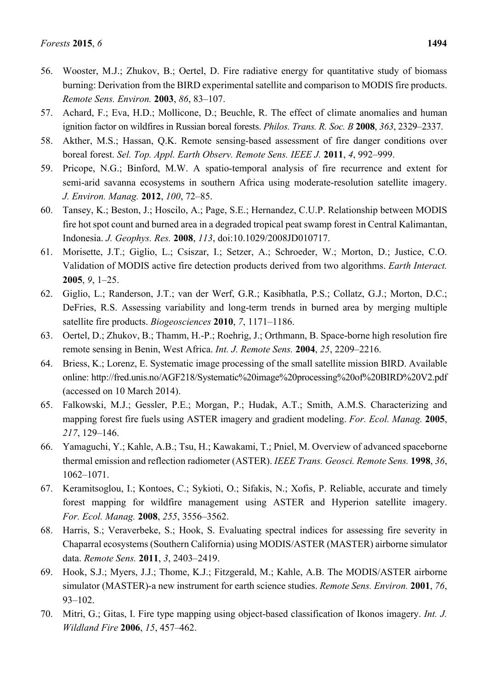- 56. Wooster, M.J.; Zhukov, B.; Oertel, D. Fire radiative energy for quantitative study of biomass burning: Derivation from the BIRD experimental satellite and comparison to MODIS fire products. *Remote Sens. Environ.* **2003**, *86*, 83–107.
- 57. Achard, F.; Eva, H.D.; Mollicone, D.; Beuchle, R. The effect of climate anomalies and human ignition factor on wildfires in Russian boreal forests. *Philos. Trans. R. Soc. B* **2008**, *363*, 2329–2337.
- 58. Akther, M.S.; Hassan, Q.K. Remote sensing-based assessment of fire danger conditions over boreal forest. *Sel. Top. Appl. Earth Observ. Remote Sens. IEEE J.* **2011**, *4*, 992–999.
- 59. Pricope, N.G.; Binford, M.W. A spatio-temporal analysis of fire recurrence and extent for semi-arid savanna ecosystems in southern Africa using moderate-resolution satellite imagery. *J. Environ. Manag.* **2012**, *100*, 72–85.
- 60. Tansey, K.; Beston, J.; Hoscilo, A.; Page, S.E.; Hernandez, C.U.P. Relationship between MODIS fire hot spot count and burned area in a degraded tropical peat swamp forest in Central Kalimantan, Indonesia. *J. Geophys. Res.* **2008**, *113*, doi:10.1029/2008JD010717.
- 61. Morisette, J.T.; Giglio, L.; Csiszar, I.; Setzer, A.; Schroeder, W.; Morton, D.; Justice, C.O. Validation of MODIS active fire detection products derived from two algorithms. *Earth Interact.* **2005**, *9*, 1–25.
- 62. Giglio, L.; Randerson, J.T.; van der Werf, G.R.; Kasibhatla, P.S.; Collatz, G.J.; Morton, D.C.; DeFries, R.S. Assessing variability and long-term trends in burned area by merging multiple satellite fire products. *Biogeosciences* **2010**, *7*, 1171–1186.
- 63. Oertel, D.; Zhukov, B.; Thamm, H.-P.; Roehrig, J.; Orthmann, B. Space-borne high resolution fire remote sensing in Benin, West Africa. *Int. J. Remote Sens.* **2004**, *25*, 2209–2216.
- 64. Briess, K.; Lorenz, E. Systematic image processing of the small satellite mission BIRD. Available online: http://fred.unis.no/AGF218/Systematic%20image%20processing%20of%20BIRD%20V2.pdf (accessed on 10 March 2014).
- 65. Falkowski, M.J.; Gessler, P.E.; Morgan, P.; Hudak, A.T.; Smith, A.M.S. Characterizing and mapping forest fire fuels using ASTER imagery and gradient modeling. *For. Ecol. Manag.* **2005**, *217*, 129–146.
- 66. Yamaguchi, Y.; Kahle, A.B.; Tsu, H.; Kawakami, T.; Pniel, M. Overview of advanced spaceborne thermal emission and reflection radiometer (ASTER). *IEEE Trans. Geosci. Remote Sens.* **1998**, *36*, 1062–1071.
- 67. Keramitsoglou, I.; Kontoes, C.; Sykioti, O.; Sifakis, N.; Xofis, P. Reliable, accurate and timely forest mapping for wildfire management using ASTER and Hyperion satellite imagery. *For. Ecol. Manag.* **2008**, *255*, 3556–3562.
- 68. Harris, S.; Veraverbeke, S.; Hook, S. Evaluating spectral indices for assessing fire severity in Chaparral ecosystems (Southern California) using MODIS/ASTER (MASTER) airborne simulator data. *Remote Sens.* **2011**, *3*, 2403–2419.
- 69. Hook, S.J.; Myers, J.J.; Thome, K.J.; Fitzgerald, M.; Kahle, A.B. The MODIS/ASTER airborne simulator (MASTER)-a new instrument for earth science studies. *Remote Sens. Environ.* **2001**, *76*, 93–102.
- 70. Mitri, G.; Gitas, I. Fire type mapping using object-based classification of Ikonos imagery. *Int. J. Wildland Fire* **2006**, *15*, 457–462.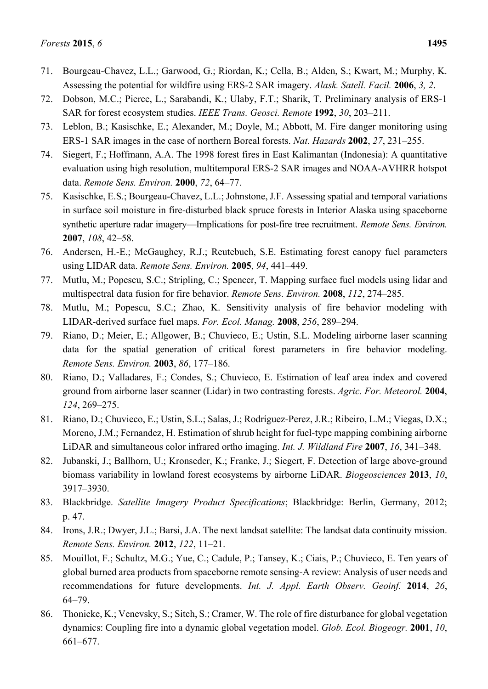- 71. Bourgeau-Chavez, L.L.; Garwood, G.; Riordan, K.; Cella, B.; Alden, S.; Kwart, M.; Murphy, K. Assessing the potential for wildfire using ERS-2 SAR imagery. *Alask. Satell. Facil.* **2006**, *3, 2*.
- 72. Dobson, M.C.; Pierce, L.; Sarabandi, K.; Ulaby, F.T.; Sharik, T. Preliminary analysis of ERS-1 SAR for forest ecosystem studies. *IEEE Trans. Geosci. Remote* **1992**, *30*, 203–211.
- 73. Leblon, B.; Kasischke, E.; Alexander, M.; Doyle, M.; Abbott, M. Fire danger monitoring using ERS-1 SAR images in the case of northern Boreal forests. *Nat. Hazards* **2002**, *27*, 231–255.
- 74. Siegert, F.; Hoffmann, A.A. The 1998 forest fires in East Kalimantan (Indonesia): A quantitative evaluation using high resolution, multitemporal ERS-2 SAR images and NOAA-AVHRR hotspot data. *Remote Sens. Environ.* **2000**, *72*, 64–77.
- 75. Kasischke, E.S.; Bourgeau-Chavez, L.L.; Johnstone, J.F. Assessing spatial and temporal variations in surface soil moisture in fire-disturbed black spruce forests in Interior Alaska using spaceborne synthetic aperture radar imagery—Implications for post-fire tree recruitment. *Remote Sens. Environ.* **2007**, *108*, 42–58.
- 76. Andersen, H.-E.; McGaughey, R.J.; Reutebuch, S.E. Estimating forest canopy fuel parameters using LIDAR data. *Remote Sens. Environ.* **2005**, *94*, 441–449.
- 77. Mutlu, M.; Popescu, S.C.; Stripling, C.; Spencer, T. Mapping surface fuel models using lidar and multispectral data fusion for fire behavior. *Remote Sens. Environ.* **2008**, *112*, 274–285.
- 78. Mutlu, M.; Popescu, S.C.; Zhao, K. Sensitivity analysis of fire behavior modeling with LIDAR-derived surface fuel maps. *For. Ecol. Manag.* **2008**, *256*, 289–294.
- 79. Riano, D.; Meier, E.; Allgower, B.; Chuvieco, E.; Ustin, S.L. Modeling airborne laser scanning data for the spatial generation of critical forest parameters in fire behavior modeling. *Remote Sens. Environ.* **2003**, *86*, 177–186.
- 80. Riano, D.; Valladares, F.; Condes, S.; Chuvieco, E. Estimation of leaf area index and covered ground from airborne laser scanner (Lidar) in two contrasting forests. *Agric. For. Meteorol.* **2004**, *124*, 269–275.
- 81. Riano, D.; Chuvieco, E.; Ustin, S.L.; Salas, J.; Rodríguez-Perez, J.R.; Ribeiro, L.M.; Viegas, D.X.; Moreno, J.M.; Fernandez, H. Estimation of shrub height for fuel-type mapping combining airborne LiDAR and simultaneous color infrared ortho imaging. *Int. J. Wildland Fire* **2007**, *16*, 341–348.
- 82. Jubanski, J.; Ballhorn, U.; Kronseder, K.; Franke, J.; Siegert, F. Detection of large above-ground biomass variability in lowland forest ecosystems by airborne LiDAR. *Biogeosciences* **2013**, *10*, 3917–3930.
- 83. Blackbridge. *Satellite Imagery Product Specifications*; Blackbridge: Berlin, Germany, 2012; p. 47.
- 84. Irons, J.R.; Dwyer, J.L.; Barsi, J.A. The next landsat satellite: The landsat data continuity mission. *Remote Sens. Environ.* **2012**, *122*, 11–21.
- 85. Mouillot, F.; Schultz, M.G.; Yue, C.; Cadule, P.; Tansey, K.; Ciais, P.; Chuvieco, E. Ten years of global burned area products from spaceborne remote sensing-A review: Analysis of user needs and recommendations for future developments. *Int. J. Appl. Earth Observ. Geoinf.* **2014**, *26*, 64–79.
- 86. Thonicke, K.; Venevsky, S.; Sitch, S.; Cramer, W. The role of fire disturbance for global vegetation dynamics: Coupling fire into a dynamic global vegetation model. *Glob. Ecol. Biogeogr.* **2001**, *10*, 661–677.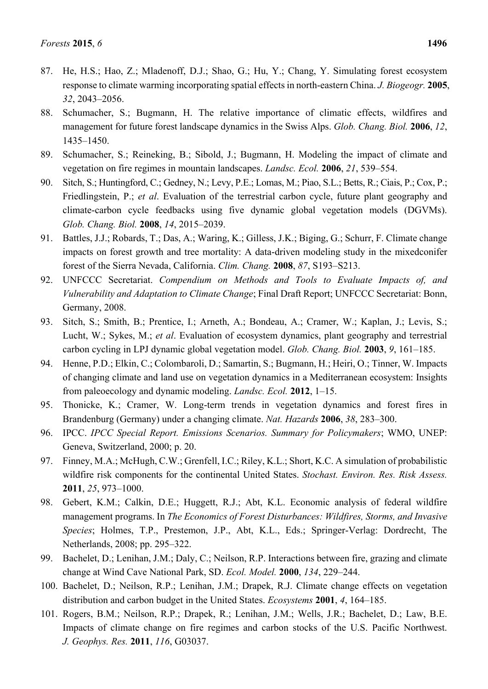- 87. He, H.S.; Hao, Z.; Mladenoff, D.J.; Shao, G.; Hu, Y.; Chang, Y. Simulating forest ecosystem response to climate warming incorporating spatial effects in north-eastern China. *J. Biogeogr.* **2005**, *32*, 2043–2056.
- 88. Schumacher, S.; Bugmann, H. The relative importance of climatic effects, wildfires and management for future forest landscape dynamics in the Swiss Alps. *Glob. Chang. Biol.* **2006**, *12*, 1435–1450.
- 89. Schumacher, S.; Reineking, B.; Sibold, J.; Bugmann, H. Modeling the impact of climate and vegetation on fire regimes in mountain landscapes. *Landsc. Ecol.* **2006**, *21*, 539–554.
- 90. Sitch, S.; Huntingford, C.; Gedney, N.; Levy, P.E.; Lomas, M.; Piao, S.L.; Betts, R.; Ciais, P.; Cox, P.; Friedlingstein, P.; *et al*. Evaluation of the terrestrial carbon cycle, future plant geography and climate-carbon cycle feedbacks using five dynamic global vegetation models (DGVMs). *Glob. Chang. Biol.* **2008**, *14*, 2015–2039.
- 91. Battles, J.J.; Robards, T.; Das, A.; Waring, K.; Gilless, J.K.; Biging, G.; Schurr, F. Climate change impacts on forest growth and tree mortality: A data-driven modeling study in the mixedconifer forest of the Sierra Nevada, California. *Clim. Chang.* **2008**, *87*, S193–S213.
- 92. UNFCCC Secretariat. *Compendium on Methods and Tools to Evaluate Impacts of, and Vulnerability and Adaptation to Climate Change*; Final Draft Report; UNFCCC Secretariat: Bonn, Germany, 2008.
- 93. Sitch, S.; Smith, B.; Prentice, I.; Arneth, A.; Bondeau, A.; Cramer, W.; Kaplan, J.; Levis, S.; Lucht, W.; Sykes, M.; *et al*. Evaluation of ecosystem dynamics, plant geography and terrestrial carbon cycling in LPJ dynamic global vegetation model. *Glob. Chang. Biol.* **2003**, *9*, 161–185.
- 94. Henne, P.D.; Elkin, C.; Colombaroli, D.; Samartin, S.; Bugmann, H.; Heiri, O.; Tinner, W. Impacts of changing climate and land use on vegetation dynamics in a Mediterranean ecosystem: Insights from paleoecology and dynamic modeling. *Landsc. Ecol.* **2012**, 1–15.
- 95. Thonicke, K.; Cramer, W. Long-term trends in vegetation dynamics and forest fires in Brandenburg (Germany) under a changing climate. *Nat. Hazards* **2006**, *38*, 283–300.
- 96. IPCC. *IPCC Special Report. Emissions Scenarios. Summary for Policymakers*; WMO, UNEP: Geneva, Switzerland, 2000; p. 20.
- 97. Finney, M.A.; McHugh, C.W.; Grenfell, I.C.; Riley, K.L.; Short, K.C. A simulation of probabilistic wildfire risk components for the continental United States. *Stochast. Environ. Res. Risk Assess.* **2011**, *25*, 973–1000.
- 98. Gebert, K.M.; Calkin, D.E.; Huggett, R.J.; Abt, K.L. Economic analysis of federal wildfire management programs. In *The Economics of Forest Disturbances: Wildfires, Storms, and Invasive Species*; Holmes, T.P., Prestemon, J.P., Abt, K.L., Eds.; Springer-Verlag: Dordrecht, The Netherlands, 2008; pp. 295–322.
- 99. Bachelet, D.; Lenihan, J.M.; Daly, C.; Neilson, R.P. Interactions between fire, grazing and climate change at Wind Cave National Park, SD. *Ecol. Model.* **2000**, *134*, 229–244.
- 100. Bachelet, D.; Neilson, R.P.; Lenihan, J.M.; Drapek, R.J. Climate change effects on vegetation distribution and carbon budget in the United States. *Ecosystems* **2001**, *4*, 164–185.
- 101. Rogers, B.M.; Neilson, R.P.; Drapek, R.; Lenihan, J.M.; Wells, J.R.; Bachelet, D.; Law, B.E. Impacts of climate change on fire regimes and carbon stocks of the U.S. Pacific Northwest. *J. Geophys. Res.* **2011**, *116*, G03037.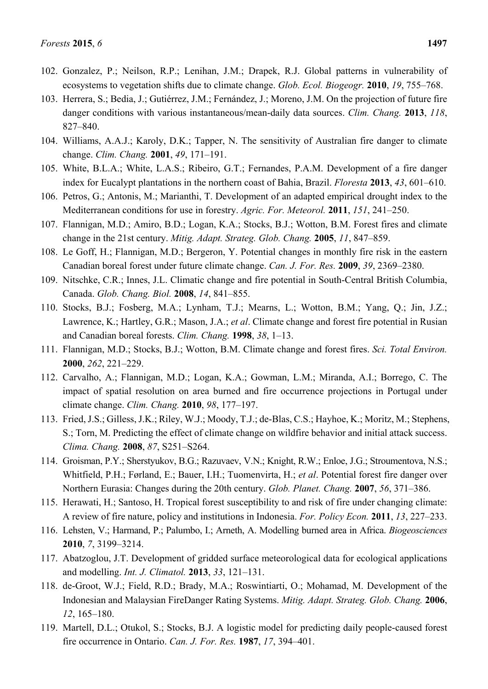- 102. Gonzalez, P.; Neilson, R.P.; Lenihan, J.M.; Drapek, R.J. Global patterns in vulnerability of ecosystems to vegetation shifts due to climate change. *Glob. Ecol. Biogeogr.* **2010**, *19*, 755–768.
- 103. Herrera, S.; Bedia, J.; Gutiérrez, J.M.; Fernández, J.; Moreno, J.M. On the projection of future fire danger conditions with various instantaneous/mean-daily data sources. *Clim. Chang.* **2013**, *118*, 827–840.
- 104. Williams, A.A.J.; Karoly, D.K.; Tapper, N. The sensitivity of Australian fire danger to climate change. *Clim. Chang.* **2001**, *49*, 171–191.
- 105. White, B.L.A.; White, L.A.S.; Ribeiro, G.T.; Fernandes, P.A.M. Development of a fire danger index for Eucalypt plantations in the northern coast of Bahia, Brazil. *Floresta* **2013**, *43*, 601–610.
- 106. Petros, G.; Antonis, M.; Marianthi, T. Development of an adapted empirical drought index to the Mediterranean conditions for use in forestry. *Agric. For. Meteorol.* **2011**, *151*, 241–250.
- 107. Flannigan, M.D.; Amiro, B.D.; Logan, K.A.; Stocks, B.J.; Wotton, B.M. Forest fires and climate change in the 21st century. *Mitig. Adapt. Strateg. Glob. Chang.* **2005**, *11*, 847–859.
- 108. Le Goff, H.; Flannigan, M.D.; Bergeron, Y. Potential changes in monthly fire risk in the eastern Canadian boreal forest under future climate change. *Can. J. For. Res.* **2009**, *39*, 2369–2380.
- 109. Nitschke, C.R.; Innes, J.L. Climatic change and fire potential in South-Central British Columbia, Canada. *Glob. Chang. Biol.* **2008**, *14*, 841–855.
- 110. Stocks, B.J.; Fosberg, M.A.; Lynham, T.J.; Mearns, L.; Wotton, B.M.; Yang, Q.; Jin, J.Z.; Lawrence, K.; Hartley, G.R.; Mason, J.A.; *et al*. Climate change and forest fire potential in Rusian and Canadian boreal forests. *Clim. Chang.* **1998**, *38*, 1–13.
- 111. Flannigan, M.D.; Stocks, B.J.; Wotton, B.M. Climate change and forest fires. *Sci. Total Environ.* **2000**, *262*, 221–229.
- 112. Carvalho, A.; Flannigan, M.D.; Logan, K.A.; Gowman, L.M.; Miranda, A.I.; Borrego, C. The impact of spatial resolution on area burned and fire occurrence projections in Portugal under climate change. *Clim. Chang.* **2010**, *98*, 177–197.
- 113. Fried, J.S.; Gilless, J.K.; Riley, W.J.; Moody, T.J.; de-Blas, C.S.; Hayhoe, K.; Moritz, M.; Stephens, S.; Torn, M. Predicting the effect of climate change on wildfire behavior and initial attack success. *Clima. Chang.* **2008**, *87*, S251–S264.
- 114. Groisman, P.Y.; Sherstyukov, B.G.; Razuvaev, V.N.; Knight, R.W.; Enloe, J.G.; Stroumentova, N.S.; Whitfield, P.H.; Førland, E.; Bauer, I.H.; Tuomenvirta, H.; *et al*. Potential forest fire danger over Northern Eurasia: Changes during the 20th century. *Glob. Planet. Chang.* **2007**, *56*, 371–386.
- 115. Herawati, H.; Santoso, H. Tropical forest susceptibility to and risk of fire under changing climate: A review of fire nature, policy and institutions in Indonesia. *For. Policy Econ.* **2011**, *13*, 227–233.
- 116. Lehsten, V.; Harmand, P.; Palumbo, I.; Arneth, A. Modelling burned area in Africa. *Biogeosciences* **2010**, *7*, 3199–3214.
- 117. Abatzoglou, J.T. Development of gridded surface meteorological data for ecological applications and modelling. *Int. J. Climatol.* **2013**, *33*, 121–131.
- 118. de-Groot, W.J.; Field, R.D.; Brady, M.A.; Roswintiarti, O.; Mohamad, M. Development of the Indonesian and Malaysian FireDanger Rating Systems. *Mitig. Adapt. Strateg. Glob. Chang.* **2006**, *12*, 165–180.
- 119. Martell, D.L.; Otukol, S.; Stocks, B.J. A logistic model for predicting daily people-caused forest fire occurrence in Ontario. *Can. J. For. Res.* **1987**, *17*, 394–401.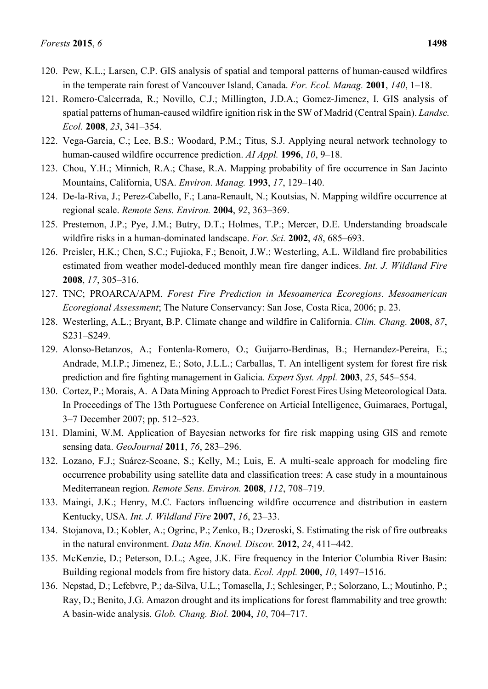- 120. Pew, K.L.; Larsen, C.P. GIS analysis of spatial and temporal patterns of human-caused wildfires in the temperate rain forest of Vancouver Island, Canada. *For. Ecol. Manag.* **2001**, *140*, 1–18.
- 121. Romero-Calcerrada, R.; Novillo, C.J.; Millington, J.D.A.; Gomez-Jimenez, I. GIS analysis of spatial patterns of human-caused wildfire ignition risk in the SW of Madrid (Central Spain). *Landsc. Ecol.* **2008**, *23*, 341–354.
- 122. Vega-Garcia, C.; Lee, B.S.; Woodard, P.M.; Titus, S.J. Applying neural network technology to human-caused wildfire occurrence prediction. *AI Appl.* **1996**, *10*, 9–18.
- 123. Chou, Y.H.; Minnich, R.A.; Chase, R.A. Mapping probability of fire occurrence in San Jacinto Mountains, California, USA. *Environ. Manag.* **1993**, *17*, 129–140.
- 124. De-la-Riva, J.; Perez-Cabello, F.; Lana-Renault, N.; Koutsias, N. Mapping wildfire occurrence at regional scale. *Remote Sens. Environ.* **2004**, *92*, 363–369.
- 125. Prestemon, J.P.; Pye, J.M.; Butry, D.T.; Holmes, T.P.; Mercer, D.E. Understanding broadscale wildfire risks in a human-dominated landscape. *For. Sci.* **2002**, *48*, 685–693.
- 126. Preisler, H.K.; Chen, S.C.; Fujioka, F.; Benoit, J.W.; Westerling, A.L. Wildland fire probabilities estimated from weather model-deduced monthly mean fire danger indices. *Int. J. Wildland Fire* **2008**, *17*, 305–316.
- 127. TNC; PROARCA/APM. *Forest Fire Prediction in Mesoamerica Ecoregions. Mesoamerican Ecoregional Assessment*; The Nature Conservancy: San Jose, Costa Rica, 2006; p. 23.
- 128. Westerling, A.L.; Bryant, B.P. Climate change and wildfire in California. *Clim. Chang.* **2008**, *87*, S231–S249.
- 129. Alonso-Betanzos, A.; Fontenla-Romero, O.; Guijarro-Berdinas, B.; Hernandez-Pereira, E.; Andrade, M.I.P.; Jimenez, E.; Soto, J.L.L.; Carballas, T. An intelligent system for forest fire risk prediction and fire fighting management in Galicia. *Expert Syst. Appl.* **2003**, *25*, 545–554.
- 130. Cortez, P.; Morais, A. A Data Mining Approach to Predict Forest Fires Using Meteorological Data. In Proceedings of The 13th Portuguese Conference on Articial Intelligence, Guimaraes, Portugal, 3–7 December 2007; pp. 512–523.
- 131. Dlamini, W.M. Application of Bayesian networks for fire risk mapping using GIS and remote sensing data. *GeoJournal* **2011**, *76*, 283–296.
- 132. Lozano, F.J.; Suárez-Seoane, S.; Kelly, M.; Luis, E. A multi-scale approach for modeling fire occurrence probability using satellite data and classification trees: A case study in a mountainous Mediterranean region. *Remote Sens. Environ.* **2008**, *112*, 708–719.
- 133. Maingi, J.K.; Henry, M.C. Factors influencing wildfire occurrence and distribution in eastern Kentucky, USA. *Int. J. Wildland Fire* **2007**, *16*, 23–33.
- 134. Stojanova, D.; Kobler, A.; Ogrinc, P.; Zenko, B.; Dzeroski, S. Estimating the risk of fire outbreaks in the natural environment. *Data Min. Knowl. Discov.* **2012**, *24*, 411–442.
- 135. McKenzie, D.; Peterson, D.L.; Agee, J.K. Fire frequency in the Interior Columbia River Basin: Building regional models from fire history data. *Ecol. Appl.* **2000**, *10*, 1497–1516.
- 136. Nepstad, D.; Lefebvre, P.; da-Silva, U.L.; Tomasella, J.; Schlesinger, P.; Solorzano, L.; Moutinho, P.; Ray, D.; Benito, J.G. Amazon drought and its implications for forest flammability and tree growth: A basin-wide analysis. *Glob. Chang. Biol.* **2004**, *10*, 704–717.